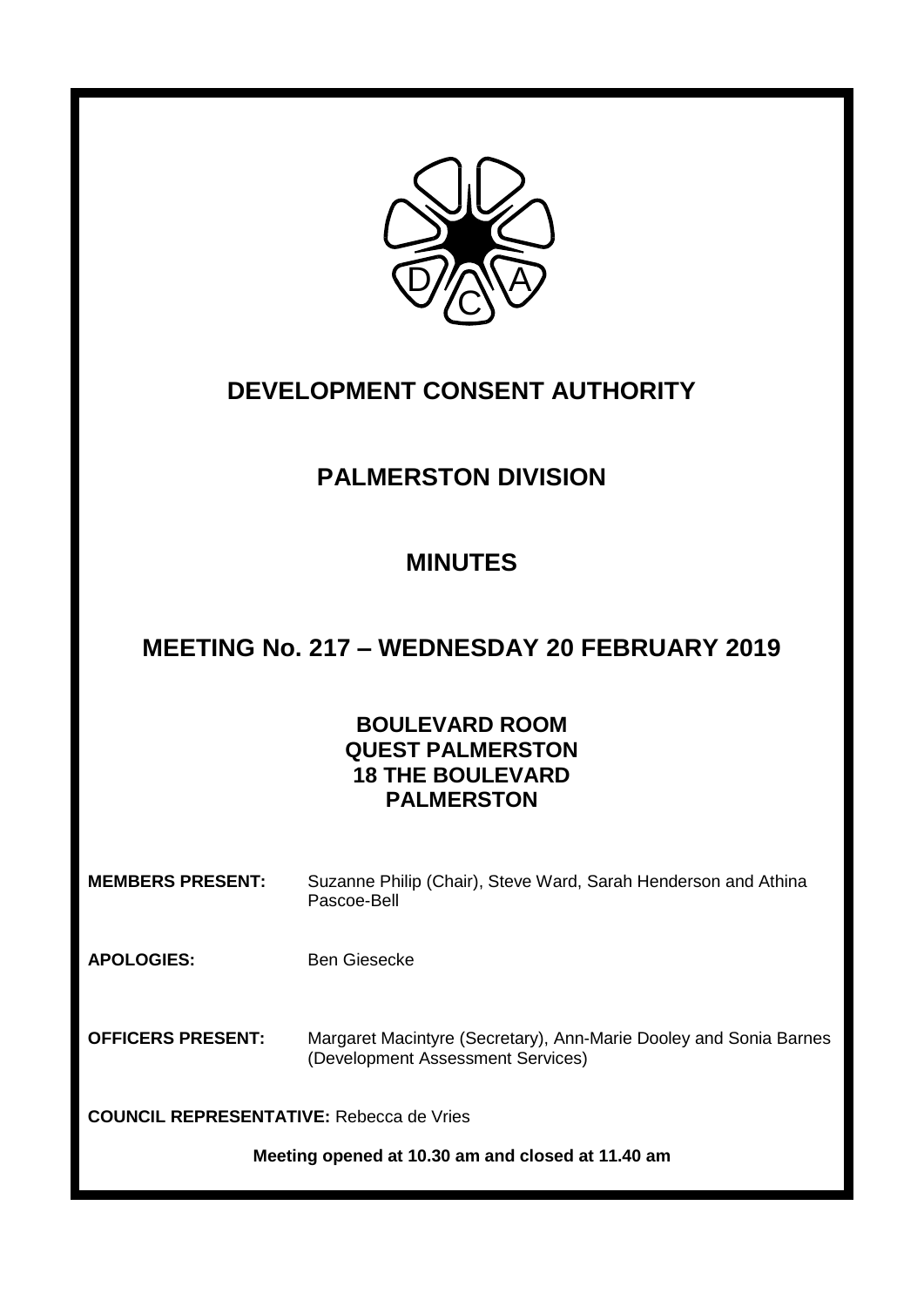

## **DEVELOPMENT CONSENT AUTHORITY**

## **PALMERSTON DIVISION**

# **MINUTES**

### **MEETING No. 217 – WEDNESDAY 20 FEBRUARY 2019**

### **BOULEVARD ROOM QUEST PALMERSTON 18 THE BOULEVARD PALMERSTON**

**MEMBERS PRESENT:** Suzanne Philip (Chair), Steve Ward, Sarah Henderson and Athina Pascoe-Bell

APOLOGIES: Ben Giesecke

**OFFICERS PRESENT:** Margaret Macintyre (Secretary), Ann-Marie Dooley and Sonia Barnes (Development Assessment Services)

**COUNCIL REPRESENTATIVE:** Rebecca de Vries

**Meeting opened at 10.30 am and closed at 11.40 am**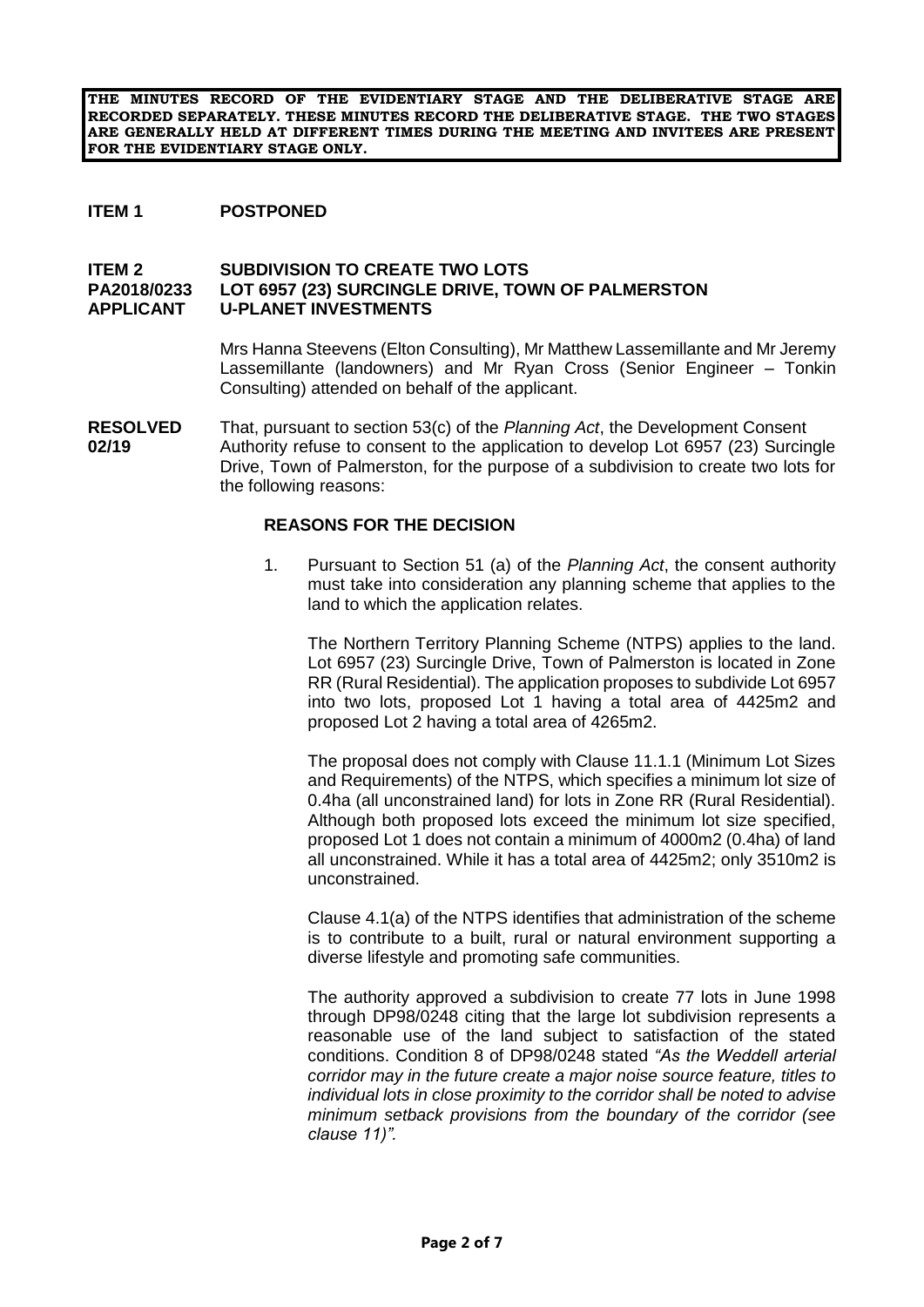**THE MINUTES RECORD OF THE EVIDENTIARY STAGE AND THE DELIBERATIVE STAGE ARE RECORDED SEPARATELY. THESE MINUTES RECORD THE DELIBERATIVE STAGE. THE TWO STAGES ARE GENERALLY HELD AT DIFFERENT TIMES DURING THE MEETING AND INVITEES ARE PRESENT FOR THE EVIDENTIARY STAGE ONLY.**

#### **ITEM 1 POSTPONED**

#### **ITEM 2 SUBDIVISION TO CREATE TWO LOTS PA2018/0233 LOT 6957 (23) SURCINGLE DRIVE, TOWN OF PALMERSTON APPLICANT U-PLANET INVESTMENTS**

Mrs Hanna Steevens (Elton Consulting), Mr Matthew Lassemillante and Mr Jeremy Lassemillante (landowners) and Mr Ryan Cross (Senior Engineer – Tonkin Consulting) attended on behalf of the applicant.

**RESOLVED** That, pursuant to section 53(c) of the *Planning Act*, the Development Consent **02/19** Authority refuse to consent to the application to develop Lot 6957 (23) Surcingle Drive, Town of Palmerston, for the purpose of a subdivision to create two lots for the following reasons:

#### **REASONS FOR THE DECISION**

1. Pursuant to Section 51 (a) of the *Planning Act*, the consent authority must take into consideration any planning scheme that applies to the land to which the application relates.

The Northern Territory Planning Scheme (NTPS) applies to the land. Lot 6957 (23) Surcingle Drive, Town of Palmerston is located in Zone RR (Rural Residential). The application proposes to subdivide Lot 6957 into two lots, proposed Lot 1 having a total area of 4425m2 and proposed Lot 2 having a total area of 4265m2.

The proposal does not comply with Clause 11.1.1 (Minimum Lot Sizes and Requirements) of the NTPS, which specifies a minimum lot size of 0.4ha (all unconstrained land) for lots in Zone RR (Rural Residential). Although both proposed lots exceed the minimum lot size specified, proposed Lot 1 does not contain a minimum of 4000m2 (0.4ha) of land all unconstrained. While it has a total area of 4425m2; only 3510m2 is unconstrained.

Clause 4.1(a) of the NTPS identifies that administration of the scheme is to contribute to a built, rural or natural environment supporting a diverse lifestyle and promoting safe communities.

The authority approved a subdivision to create 77 lots in June 1998 through DP98/0248 citing that the large lot subdivision represents a reasonable use of the land subject to satisfaction of the stated conditions. Condition 8 of DP98/0248 stated *"As the Weddell arterial corridor may in the future create a major noise source feature, titles to individual lots in close proximity to the corridor shall be noted to advise minimum setback provisions from the boundary of the corridor (see clause 11)".*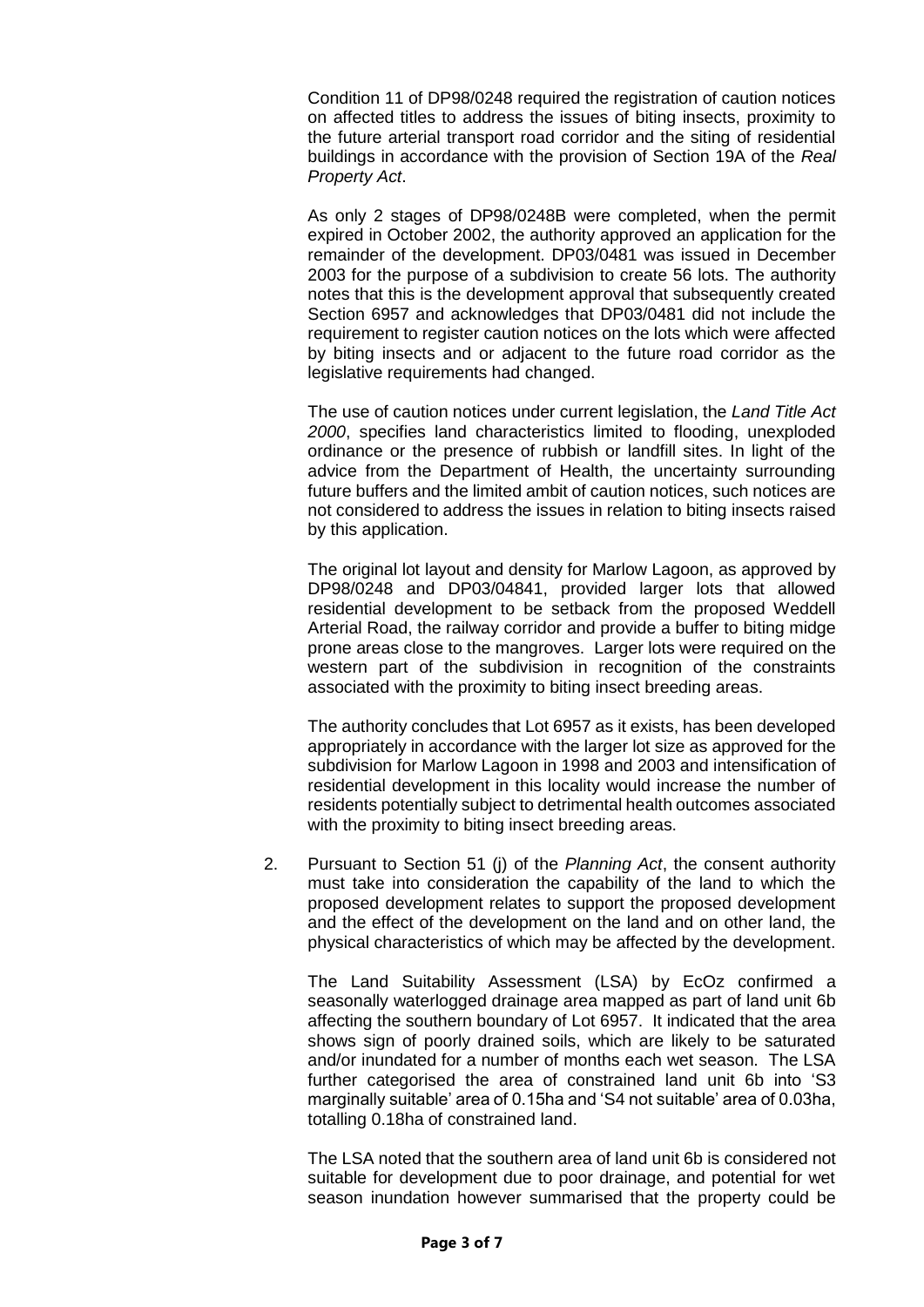Condition 11 of DP98/0248 required the registration of caution notices on affected titles to address the issues of biting insects, proximity to the future arterial transport road corridor and the siting of residential buildings in accordance with the provision of Section 19A of the *Real Property Act*.

As only 2 stages of DP98/0248B were completed, when the permit expired in October 2002, the authority approved an application for the remainder of the development. DP03/0481 was issued in December 2003 for the purpose of a subdivision to create 56 lots. The authority notes that this is the development approval that subsequently created Section 6957 and acknowledges that DP03/0481 did not include the requirement to register caution notices on the lots which were affected by biting insects and or adjacent to the future road corridor as the legislative requirements had changed.

The use of caution notices under current legislation, the *Land Title Act 2000*, specifies land characteristics limited to flooding, unexploded ordinance or the presence of rubbish or landfill sites. In light of the advice from the Department of Health, the uncertainty surrounding future buffers and the limited ambit of caution notices, such notices are not considered to address the issues in relation to biting insects raised by this application.

The original lot layout and density for Marlow Lagoon, as approved by DP98/0248 and DP03/04841, provided larger lots that allowed residential development to be setback from the proposed Weddell Arterial Road, the railway corridor and provide a buffer to biting midge prone areas close to the mangroves. Larger lots were required on the western part of the subdivision in recognition of the constraints associated with the proximity to biting insect breeding areas.

The authority concludes that Lot 6957 as it exists, has been developed appropriately in accordance with the larger lot size as approved for the subdivision for Marlow Lagoon in 1998 and 2003 and intensification of residential development in this locality would increase the number of residents potentially subject to detrimental health outcomes associated with the proximity to biting insect breeding areas.

2. Pursuant to Section 51 (j) of the *Planning Act*, the consent authority must take into consideration the capability of the land to which the proposed development relates to support the proposed development and the effect of the development on the land and on other land, the physical characteristics of which may be affected by the development.

The Land Suitability Assessment (LSA) by EcOz confirmed a seasonally waterlogged drainage area mapped as part of land unit 6b affecting the southern boundary of Lot 6957. It indicated that the area shows sign of poorly drained soils, which are likely to be saturated and/or inundated for a number of months each wet season. The LSA further categorised the area of constrained land unit 6b into 'S3 marginally suitable' area of 0.15ha and 'S4 not suitable' area of 0.03ha, totalling 0.18ha of constrained land.

The LSA noted that the southern area of land unit 6b is considered not suitable for development due to poor drainage, and potential for wet season inundation however summarised that the property could be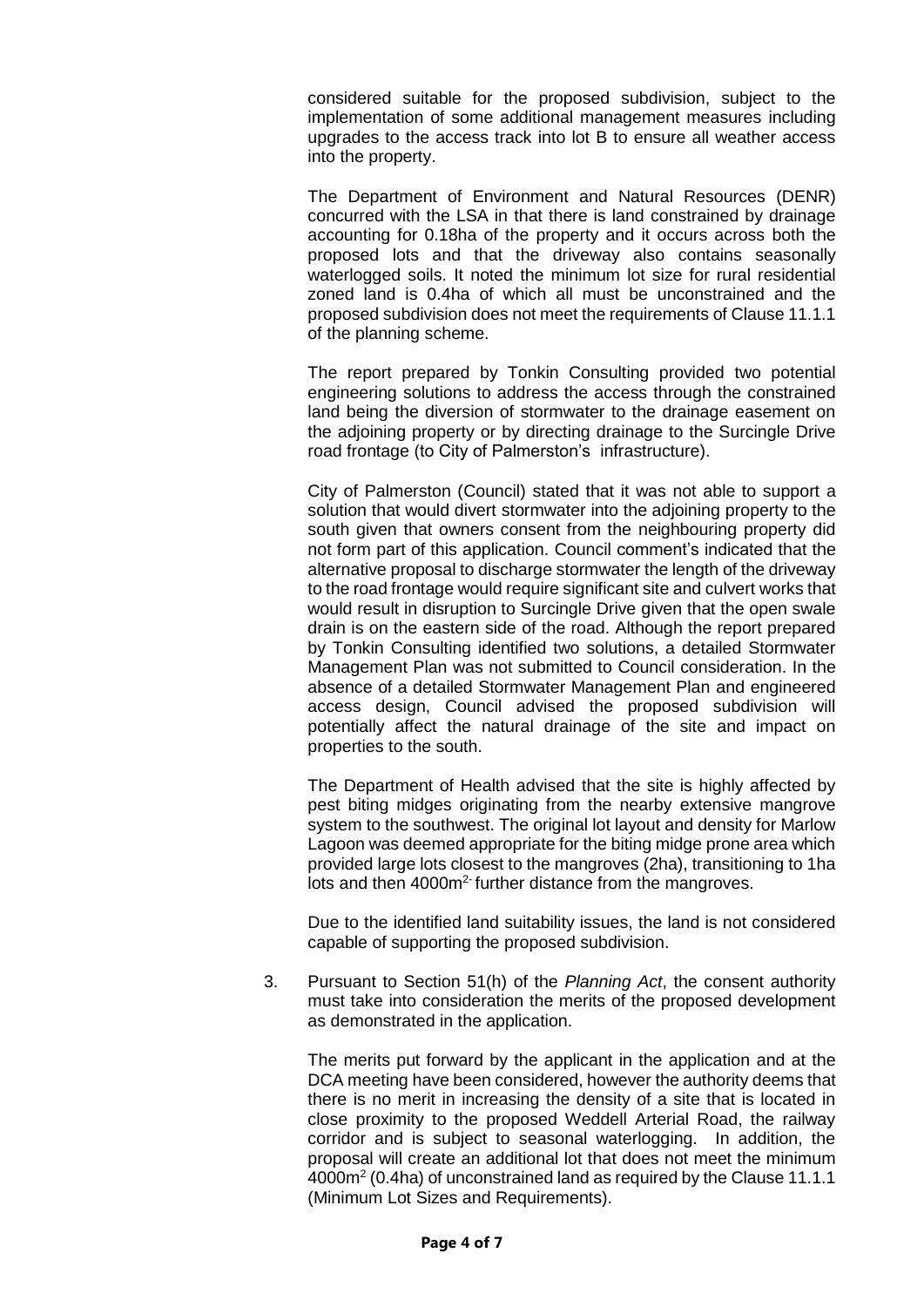considered suitable for the proposed subdivision, subject to the implementation of some additional management measures including upgrades to the access track into lot B to ensure all weather access into the property.

The Department of Environment and Natural Resources (DENR) concurred with the LSA in that there is land constrained by drainage accounting for 0.18ha of the property and it occurs across both the proposed lots and that the driveway also contains seasonally waterlogged soils. It noted the minimum lot size for rural residential zoned land is 0.4ha of which all must be unconstrained and the proposed subdivision does not meet the requirements of Clause 11.1.1 of the planning scheme.

The report prepared by Tonkin Consulting provided two potential engineering solutions to address the access through the constrained land being the diversion of stormwater to the drainage easement on the adjoining property or by directing drainage to the Surcingle Drive road frontage (to City of Palmerston's infrastructure).

City of Palmerston (Council) stated that it was not able to support a solution that would divert stormwater into the adjoining property to the south given that owners consent from the neighbouring property did not form part of this application. Council comment's indicated that the alternative proposal to discharge stormwater the length of the driveway to the road frontage would require significant site and culvert works that would result in disruption to Surcingle Drive given that the open swale drain is on the eastern side of the road. Although the report prepared by Tonkin Consulting identified two solutions, a detailed Stormwater Management Plan was not submitted to Council consideration. In the absence of a detailed Stormwater Management Plan and engineered access design, Council advised the proposed subdivision will potentially affect the natural drainage of the site and impact on properties to the south.

The Department of Health advised that the site is highly affected by pest biting midges originating from the nearby extensive mangrove system to the southwest. The original lot layout and density for Marlow Lagoon was deemed appropriate for the biting midge prone area which provided large lots closest to the mangroves (2ha), transitioning to 1ha lots and then 4000m<sup>2</sup> further distance from the mangroves.

Due to the identified land suitability issues, the land is not considered capable of supporting the proposed subdivision.

3. Pursuant to Section 51(h) of the *Planning Act*, the consent authority must take into consideration the merits of the proposed development as demonstrated in the application.

The merits put forward by the applicant in the application and at the DCA meeting have been considered, however the authority deems that there is no merit in increasing the density of a site that is located in close proximity to the proposed Weddell Arterial Road, the railway corridor and is subject to seasonal waterlogging. In addition, the proposal will create an additional lot that does not meet the minimum  $4000m<sup>2</sup>$  (0.4ha) of unconstrained land as required by the Clause 11.1.1 (Minimum Lot Sizes and Requirements).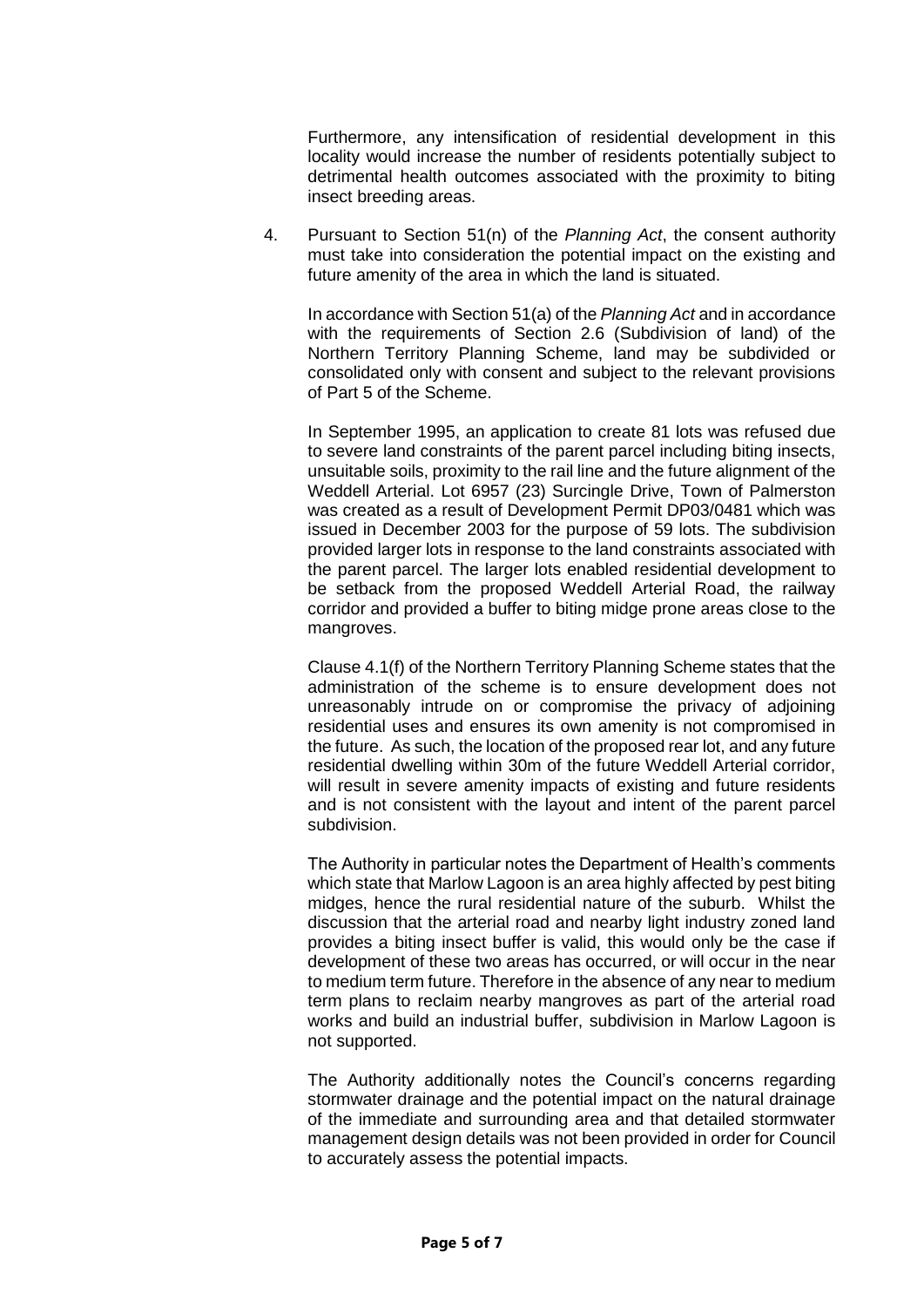Furthermore, any intensification of residential development in this locality would increase the number of residents potentially subject to detrimental health outcomes associated with the proximity to biting insect breeding areas.

4. Pursuant to Section 51(n) of the *Planning Act*, the consent authority must take into consideration the potential impact on the existing and future amenity of the area in which the land is situated.

In accordance with Section 51(a) of the *Planning Act* and in accordance with the requirements of Section 2.6 (Subdivision of land) of the Northern Territory Planning Scheme, land may be subdivided or consolidated only with consent and subject to the relevant provisions of Part 5 of the Scheme.

In September 1995, an application to create 81 lots was refused due to severe land constraints of the parent parcel including biting insects, unsuitable soils, proximity to the rail line and the future alignment of the Weddell Arterial. Lot 6957 (23) Surcingle Drive, Town of Palmerston was created as a result of Development Permit DP03/0481 which was issued in December 2003 for the purpose of 59 lots. The subdivision provided larger lots in response to the land constraints associated with the parent parcel. The larger lots enabled residential development to be setback from the proposed Weddell Arterial Road, the railway corridor and provided a buffer to biting midge prone areas close to the mangroves.

Clause 4.1(f) of the Northern Territory Planning Scheme states that the administration of the scheme is to ensure development does not unreasonably intrude on or compromise the privacy of adjoining residential uses and ensures its own amenity is not compromised in the future. As such, the location of the proposed rear lot, and any future residential dwelling within 30m of the future Weddell Arterial corridor, will result in severe amenity impacts of existing and future residents and is not consistent with the layout and intent of the parent parcel subdivision.

The Authority in particular notes the Department of Health's comments which state that Marlow Lagoon is an area highly affected by pest biting midges, hence the rural residential nature of the suburb. Whilst the discussion that the arterial road and nearby light industry zoned land provides a biting insect buffer is valid, this would only be the case if development of these two areas has occurred, or will occur in the near to medium term future. Therefore in the absence of any near to medium term plans to reclaim nearby mangroves as part of the arterial road works and build an industrial buffer, subdivision in Marlow Lagoon is not supported.

The Authority additionally notes the Council's concerns regarding stormwater drainage and the potential impact on the natural drainage of the immediate and surrounding area and that detailed stormwater management design details was not been provided in order for Council to accurately assess the potential impacts.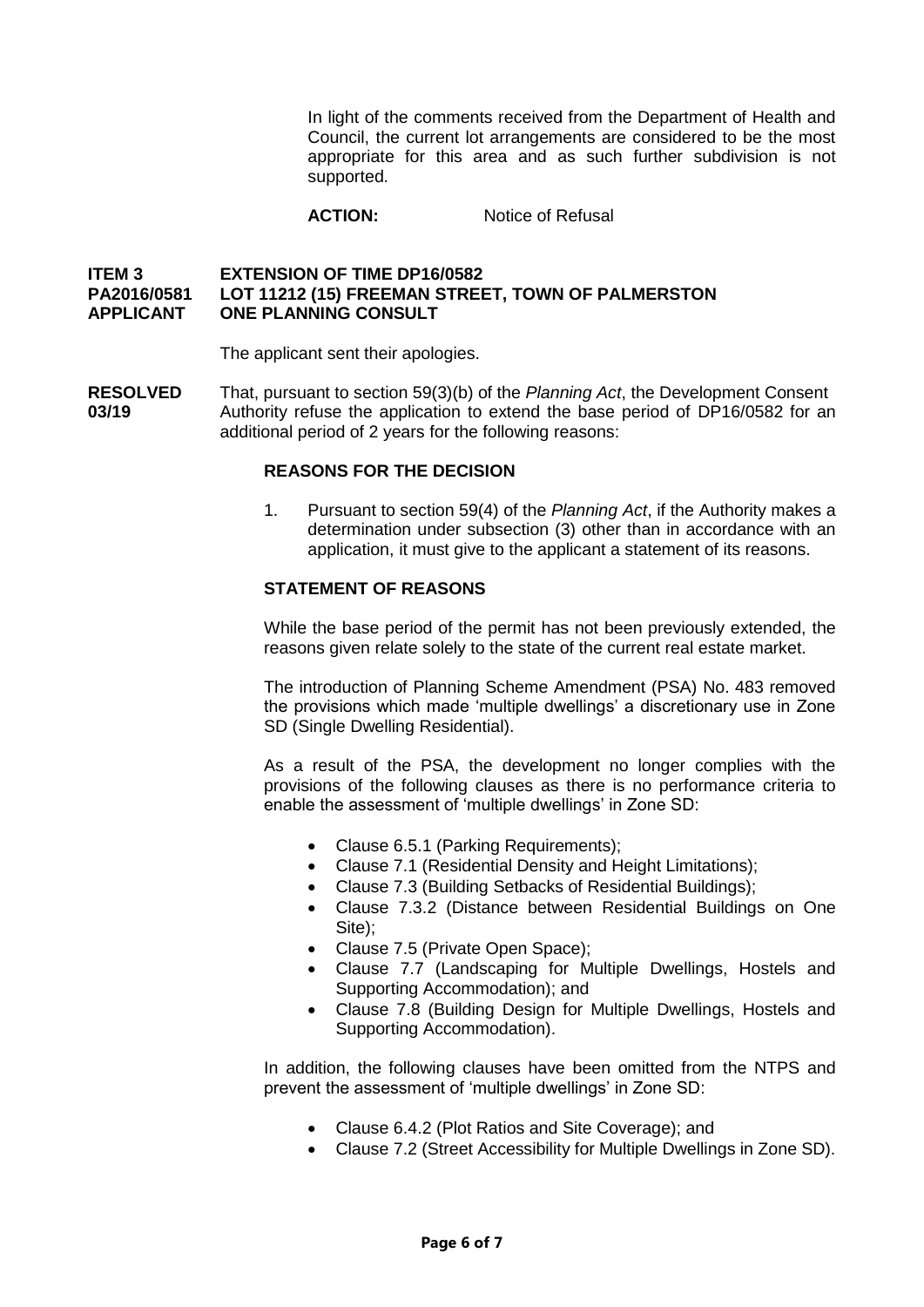In light of the comments received from the Department of Health and Council, the current lot arrangements are considered to be the most appropriate for this area and as such further subdivision is not supported.

**ACTION:** Notice of Refusal

#### **ITEM 3 EXTENSION OF TIME DP16/0582 PA2016/0581 LOT 11212 (15) FREEMAN STREET, TOWN OF PALMERSTON APPLICANT ONE PLANNING CONSULT**

The applicant sent their apologies.

**RESOLVED** That, pursuant to section 59(3)(b) of the *Planning Act*, the Development Consent **03/19** Authority refuse the application to extend the base period of DP16/0582 for an additional period of 2 years for the following reasons:

#### **REASONS FOR THE DECISION**

1. Pursuant to section 59(4) of the *Planning Act*, if the Authority makes a determination under subsection (3) other than in accordance with an application, it must give to the applicant a statement of its reasons.

#### **STATEMENT OF REASONS**

While the base period of the permit has not been previously extended, the reasons given relate solely to the state of the current real estate market.

The introduction of Planning Scheme Amendment (PSA) No. 483 removed the provisions which made 'multiple dwellings' a discretionary use in Zone SD (Single Dwelling Residential).

As a result of the PSA, the development no longer complies with the provisions of the following clauses as there is no performance criteria to enable the assessment of 'multiple dwellings' in Zone SD:

- Clause 6.5.1 (Parking Requirements);
- Clause 7.1 (Residential Density and Height Limitations);
- Clause 7.3 (Building Setbacks of Residential Buildings);
- Clause 7.3.2 (Distance between Residential Buildings on One Site);
- Clause 7.5 (Private Open Space);
- Clause 7.7 (Landscaping for Multiple Dwellings, Hostels and Supporting Accommodation); and
- Clause 7.8 (Building Design for Multiple Dwellings, Hostels and Supporting Accommodation).

In addition, the following clauses have been omitted from the NTPS and prevent the assessment of 'multiple dwellings' in Zone SD:

- Clause 6.4.2 (Plot Ratios and Site Coverage); and
- Clause 7.2 (Street Accessibility for Multiple Dwellings in Zone SD).